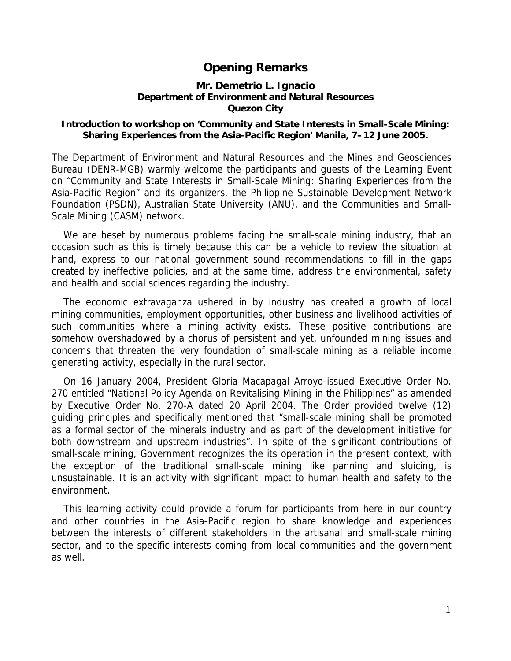## **Opening Remarks**

## **Mr. Demetrio L. Ignacio Department of Environment and Natural Resources Quezon City**

## **Introduction to workshop on 'Community and State Interests in Small-Scale Mining: Sharing Experiences from the Asia-Pacific Region' Manila, 7–12 June 2005.**

The Department of Environment and Natural Resources and the Mines and Geosciences Bureau (DENR-MGB) warmly welcome the participants and guests of the Learning Event on "Community and State Interests in Small-Scale Mining: Sharing Experiences from the Asia-Pacific Region" and its organizers, the Philippine Sustainable Development Network Foundation (PSDN), Australian State University (ANU), and the Communities and Small-Scale Mining (CASM) network.

We are beset by numerous problems facing the small-scale mining industry, that an occasion such as this is timely because this can be a vehicle to review the situation at hand, express to our national government sound recommendations to fill in the gaps created by ineffective policies, and at the same time, address the environmental, safety and health and social sciences regarding the industry.

The economic extravaganza ushered in by industry has created a growth of local mining communities, employment opportunities, other business and livelihood activities of such communities where a mining activity exists. These positive contributions are somehow overshadowed by a chorus of persistent and yet, unfounded mining issues and concerns that threaten the very foundation of small-scale mining as a reliable income generating activity, especially in the rural sector.

On 16 January 2004, President Gloria Macapagal Arroyo-issued Executive Order No. 270 entitled "National Policy Agenda on Revitalising Mining in the Philippines" as amended by Executive Order No. 270-A dated 20 April 2004. The Order provided twelve (12) guiding principles and specifically mentioned that "small-scale mining shall be promoted as a formal sector of the minerals industry and as part of the development initiative for both downstream and upstream industries". In spite of the significant contributions of small-scale mining, Government recognizes the its operation in the present context, with the exception of the traditional small-scale mining like panning and sluicing, is unsustainable. It is an activity with significant impact to human health and safety to the environment.

This learning activity could provide a forum for participants from here in our country and other countries in the Asia-Pacific region to share knowledge and experiences between the interests of different stakeholders in the artisanal and small-scale mining sector, and to the specific interests coming from local communities and the government as well.